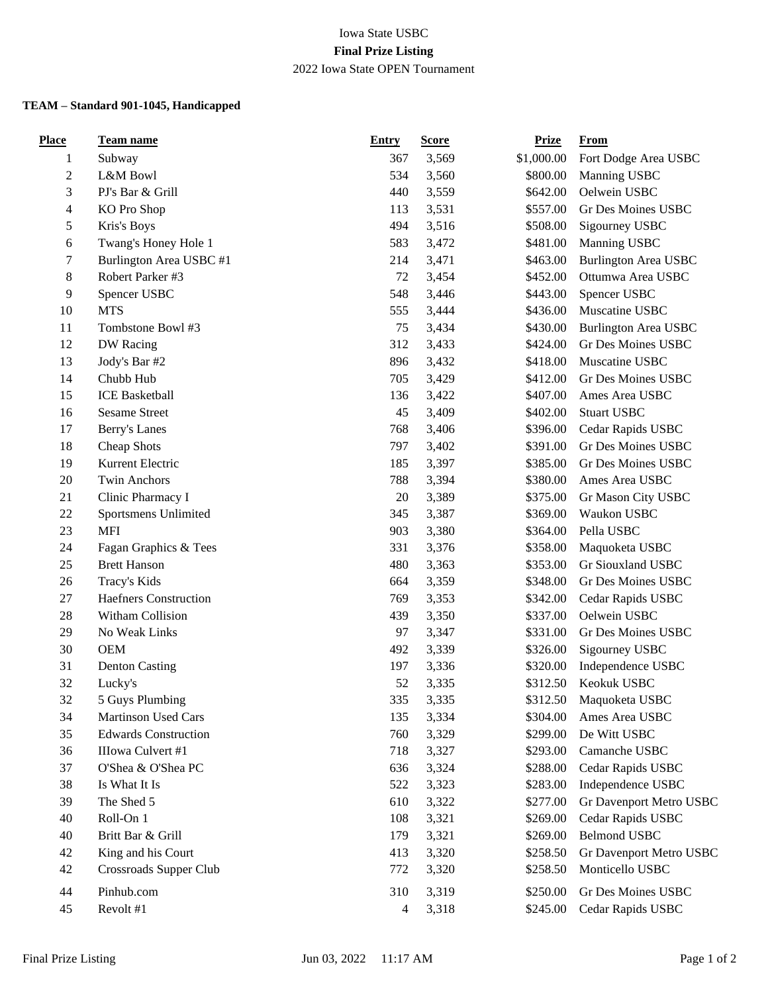## Iowa State USBC **Final Prize Listing** 2022 Iowa State OPEN Tournament

## **TEAM – Standard 901-1045, Handicapped**

| <b>Place</b> | <b>Team name</b>             | <b>Entry</b> | <b>Score</b> | <b>Prize</b> | <b>From</b>                 |
|--------------|------------------------------|--------------|--------------|--------------|-----------------------------|
| 1            | Subway                       | 367          | 3,569        | \$1,000.00   | Fort Dodge Area USBC        |
| $\mathbf{2}$ | L&M Bowl                     | 534          | 3,560        | \$800.00     | Manning USBC                |
| 3            | PJ's Bar & Grill             | 440          | 3,559        | \$642.00     | Oelwein USBC                |
| 4            | KO Pro Shop                  | 113          | 3,531        | \$557.00     | Gr Des Moines USBC          |
| 5            | Kris's Boys                  | 494          | 3,516        | \$508.00     | Sigourney USBC              |
| 6            | Twang's Honey Hole 1         | 583          | 3,472        | \$481.00     | Manning USBC                |
| 7            | Burlington Area USBC #1      | 214          | 3,471        | \$463.00     | <b>Burlington Area USBC</b> |
| 8            | Robert Parker #3             | 72           | 3,454        | \$452.00     | Ottumwa Area USBC           |
| 9            | Spencer USBC                 | 548          | 3,446        | \$443.00     | Spencer USBC                |
| $10\,$       | <b>MTS</b>                   | 555          | 3,444        | \$436.00     | Muscatine USBC              |
| 11           | Tombstone Bowl #3            | 75           | 3,434        | \$430.00     | <b>Burlington Area USBC</b> |
| 12           | DW Racing                    | 312          | 3,433        | \$424.00     | Gr Des Moines USBC          |
| 13           | Jody's Bar #2                | 896          | 3,432        | \$418.00     | Muscatine USBC              |
| 14           | Chubb Hub                    | 705          | 3,429        | \$412.00     | Gr Des Moines USBC          |
| 15           | <b>ICE Basketball</b>        | 136          | 3,422        | \$407.00     | Ames Area USBC              |
| 16           | <b>Sesame Street</b>         | 45           | 3,409        | \$402.00     | <b>Stuart USBC</b>          |
| 17           | Berry's Lanes                | 768          | 3,406        | \$396.00     | Cedar Rapids USBC           |
| 18           | Cheap Shots                  | 797          | 3,402        | \$391.00     | Gr Des Moines USBC          |
| 19           | Kurrent Electric             | 185          | 3,397        | \$385.00     | <b>Gr Des Moines USBC</b>   |
| 20           | <b>Twin Anchors</b>          | 788          | 3,394        | \$380.00     | Ames Area USBC              |
| 21           | Clinic Pharmacy I            | 20           | 3,389        | \$375.00     | Gr Mason City USBC          |
| $22\,$       | Sportsmens Unlimited         | 345          | 3,387        | \$369.00     | Waukon USBC                 |
| 23           | <b>MFI</b>                   | 903          | 3,380        | \$364.00     | Pella USBC                  |
| 24           | Fagan Graphics & Tees        | 331          | 3,376        | \$358.00     | Maquoketa USBC              |
| 25           | <b>Brett Hanson</b>          | 480          | 3,363        | \$353.00     | Gr Siouxland USBC           |
| 26           | Tracy's Kids                 | 664          | 3,359        | \$348.00     | Gr Des Moines USBC          |
| $27\,$       | <b>Haefners Construction</b> | 769          | 3,353        | \$342.00     | Cedar Rapids USBC           |
| 28           | Witham Collision             | 439          | 3,350        | \$337.00     | Oelwein USBC                |
| 29           | No Weak Links                | 97           | 3,347        | \$331.00     | Gr Des Moines USBC          |
| 30           | <b>OEM</b>                   | 492          | 3,339        | \$326.00     | Sigourney USBC              |
| 31           | <b>Denton Casting</b>        | 197          | 3,336        | \$320.00     | Independence USBC           |
| 32           | Lucky's                      | 52           | 3,335        | \$312.50     | Keokuk USBC                 |
| 32           | 5 Guys Plumbing              | 335          | 3,335        | \$312.50     | Maquoketa USBC              |
| 34           | Martinson Used Cars          | 135          | 3,334        | \$304.00     | Ames Area USBC              |
| 35           | <b>Edwards Construction</b>  | 760          | 3,329        | \$299.00     | De Witt USBC                |
| 36           | IIIowa Culvert #1            | 718          | 3,327        | \$293.00     | Camanche USBC               |
| 37           | O'Shea & O'Shea PC           | 636          | 3,324        | \$288.00     | Cedar Rapids USBC           |
| 38           | Is What It Is                | 522          | 3,323        | \$283.00     | Independence USBC           |
| 39           | The Shed 5                   | 610          | 3,322        | \$277.00     | Gr Davenport Metro USBC     |
| 40           | Roll-On 1                    | 108          | 3,321        | \$269.00     | Cedar Rapids USBC           |
| 40           | Britt Bar & Grill            | 179          | 3,321        | \$269.00     | <b>Belmond USBC</b>         |
| 42           | King and his Court           | 413          | 3,320        | \$258.50     | Gr Davenport Metro USBC     |
| 42           | Crossroads Supper Club       | 772          | 3,320        | \$258.50     | Monticello USBC             |
|              |                              |              |              |              |                             |
| 44           | Pinhub.com                   | 310          | 3,319        | \$250.00     | Gr Des Moines USBC          |
| 45           | Revolt #1                    | 4            | 3,318        | \$245.00     | Cedar Rapids USBC           |